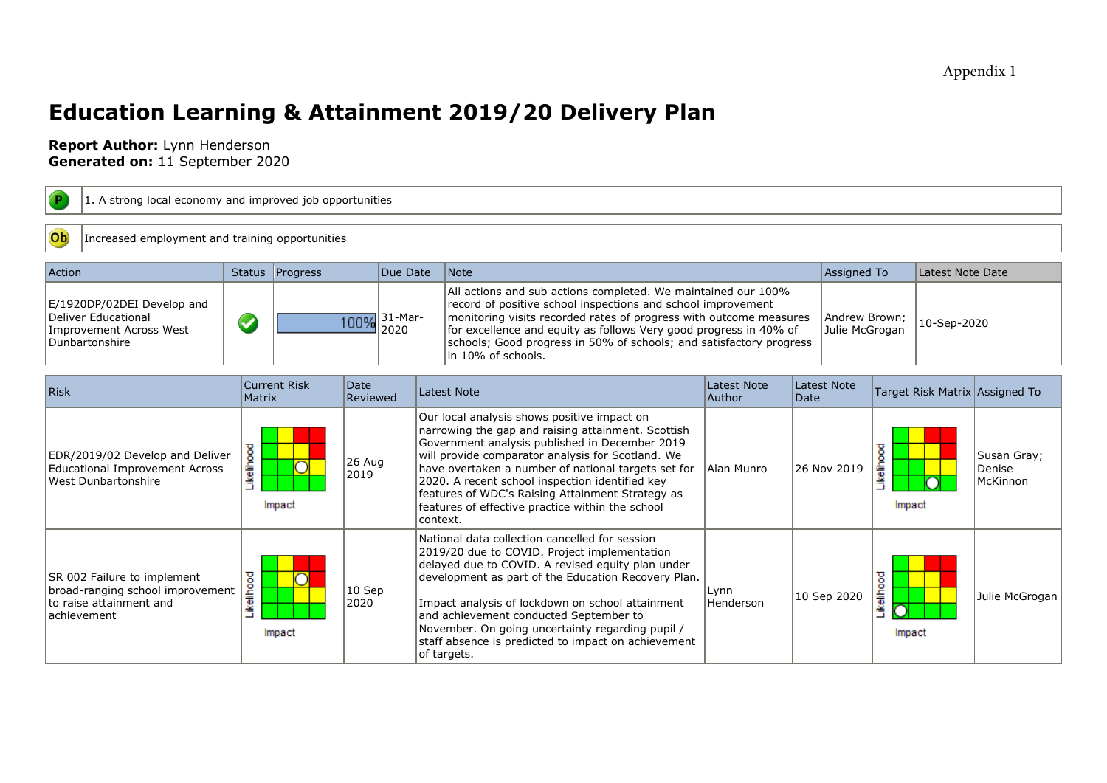## Appendix 1

# **Education Learning & Attainment 2019/20 Delivery Plan**

## **Report Author:** Lynn Henderson **Generated on:** 11 September 2020

| <b>P</b><br>1. A strong local economy and improved job opportunities                                        |               |                     |                  |                                                                                                                                                                                                                                                                                                                                                                                                                                            |                                                                                                                                                                                                                                                                                                                                                                                                                                        |                                     |      |             |                      |                  |                                   |  |
|-------------------------------------------------------------------------------------------------------------|---------------|---------------------|------------------|--------------------------------------------------------------------------------------------------------------------------------------------------------------------------------------------------------------------------------------------------------------------------------------------------------------------------------------------------------------------------------------------------------------------------------------------|----------------------------------------------------------------------------------------------------------------------------------------------------------------------------------------------------------------------------------------------------------------------------------------------------------------------------------------------------------------------------------------------------------------------------------------|-------------------------------------|------|-------------|----------------------|------------------|-----------------------------------|--|
| Ob<br>Increased employment and training opportunities                                                       |               |                     |                  |                                                                                                                                                                                                                                                                                                                                                                                                                                            |                                                                                                                                                                                                                                                                                                                                                                                                                                        |                                     |      |             |                      |                  |                                   |  |
| Action                                                                                                      |               | Status   Progress   |                  | Due Date                                                                                                                                                                                                                                                                                                                                                                                                                                   | Note                                                                                                                                                                                                                                                                                                                                                                                                                                   |                                     |      | Assigned To |                      | Latest Note Date |                                   |  |
| E/1920DP/02DEI Develop and<br>Deliver Educational<br>Improvement Across West<br>Dunbartonshire              | S             |                     | 100%             | All actions and sub actions completed. We maintained our 100%<br>record of positive school inspections and school improvement<br>31-Mar-<br>monitoring visits recorded rates of progress with outcome measures<br>Andrew Brown;<br>for excellence and equity as follows Very good progress in 40% of<br>Julie McGrogan<br>2020<br>schools; Good progress in 50% of schools; and satisfactory progress<br>in 10% of schools.<br>Latest Note |                                                                                                                                                                                                                                                                                                                                                                                                                                        |                                     |      |             |                      | 10-Sep-2020      |                                   |  |
| Risk                                                                                                        | <b>Matrix</b> | <b>Current Risk</b> | Date<br>Reviewed |                                                                                                                                                                                                                                                                                                                                                                                                                                            | <b>Latest Note</b>                                                                                                                                                                                                                                                                                                                                                                                                                     | <b>Latest Note</b><br><b>Author</b> | Date |             |                      |                  | Target Risk Matrix Assigned To    |  |
| EDR/2019/02 Develop and Deliver<br>Educational Improvement Across<br>West Dunbartonshire                    | Likelihood    | Impact              | 26 Aug<br>2019   |                                                                                                                                                                                                                                                                                                                                                                                                                                            | Our local analysis shows positive impact on<br>narrowing the gap and raising attainment. Scottish<br>Government analysis published in December 2019<br>will provide comparator analysis for Scotland. We<br>have overtaken a number of national targets set for<br>2020. A recent school inspection identified key<br>features of WDC's Raising Attainment Strategy as<br>features of effective practice within the school<br>context. | Alan Munro                          |      | 26 Nov 2019 | Likelihood<br>Impact |                  | Susan Gray;<br>Denise<br>McKinnon |  |
| SR 002 Failure to implement<br>broad-ranging school improvement<br>lto raise attainment and<br>lachievement | Likelihood    | Impact              | $10$ Sep<br>2020 |                                                                                                                                                                                                                                                                                                                                                                                                                                            | National data collection cancelled for session<br>2019/20 due to COVID. Project implementation<br>delayed due to COVID. A revised equity plan under<br>development as part of the Education Recovery Plan.<br>Impact analysis of lockdown on school attainment<br>and achievement conducted September to<br>November. On going uncertainty regarding pupil /<br>staff absence is predicted to impact on achievement<br>of targets.     | Lynn<br>Henderson                   |      | 10 Sep 2020 | Likelihood<br>Impact |                  | Julie McGrogan                    |  |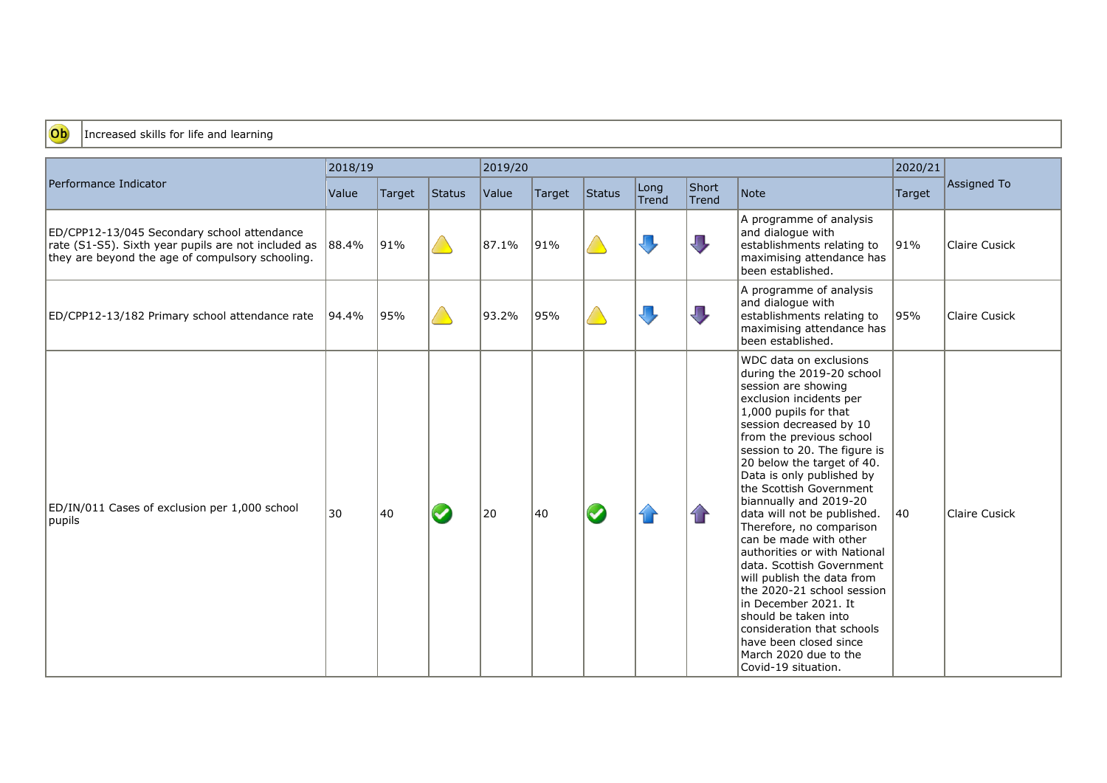

### Increased skills for life and learning

|                                                                                                                                                        | 2018/19 |        |        | 2019/20 |        |        |                         | 2020/21                     |                                                                                                                                                                                                                                                                                                                                                                                                                                                                                                                                                                                                                                                                                                               |        |                      |
|--------------------------------------------------------------------------------------------------------------------------------------------------------|---------|--------|--------|---------|--------|--------|-------------------------|-----------------------------|---------------------------------------------------------------------------------------------------------------------------------------------------------------------------------------------------------------------------------------------------------------------------------------------------------------------------------------------------------------------------------------------------------------------------------------------------------------------------------------------------------------------------------------------------------------------------------------------------------------------------------------------------------------------------------------------------------------|--------|----------------------|
| Performance Indicator                                                                                                                                  | Value   | Target | Status | Value   | Target | Status | Long<br>Trend           | Short<br>Trend <sup>'</sup> | Note                                                                                                                                                                                                                                                                                                                                                                                                                                                                                                                                                                                                                                                                                                          | Target | Assigned To          |
| ED/CPP12-13/045 Secondary school attendance<br>rate (S1-S5). Sixth year pupils are not included as<br>they are beyond the age of compulsory schooling. | 88.4%   | 91%    |        | 87.1%   | 91%    |        | $\Box$                  | $\sqrt{ }$                  | A programme of analysis<br>and dialogue with<br>establishments relating to<br>maximising attendance has<br>been established.                                                                                                                                                                                                                                                                                                                                                                                                                                                                                                                                                                                  | 91%    | Claire Cusick        |
| ED/CPP12-13/182 Primary school attendance rate                                                                                                         | 94.4%   | 95%    |        | 93.2%   | 95%    |        | $\overline{\mathbb{L}}$ | $\sqrt{ }$                  | A programme of analysis<br>and dialogue with<br>establishments relating to<br>maximising attendance has<br>been established.                                                                                                                                                                                                                                                                                                                                                                                                                                                                                                                                                                                  | 95%    | Claire Cusick        |
| ED/IN/011 Cases of exclusion per 1,000 school<br>pupils                                                                                                | 30      | 40     |        | 20      | 40     |        | 1 r                     | 1 P                         | WDC data on exclusions<br>during the 2019-20 school<br>session are showing<br>exclusion incidents per<br>$1,000$ pupils for that<br>session decreased by 10<br>from the previous school<br>session to 20. The figure is<br>20 below the target of 40.<br>Data is only published by<br>the Scottish Government<br>biannually and 2019-20<br>data will not be published.<br>Therefore, no comparison<br>can be made with other<br>authorities or with National<br>data. Scottish Government<br>will publish the data from<br>the 2020-21 school session<br>in December 2021. It<br>should be taken into<br>consideration that schools<br>have been closed since<br>March 2020 due to the<br>Covid-19 situation. | 40     | <b>Claire Cusick</b> |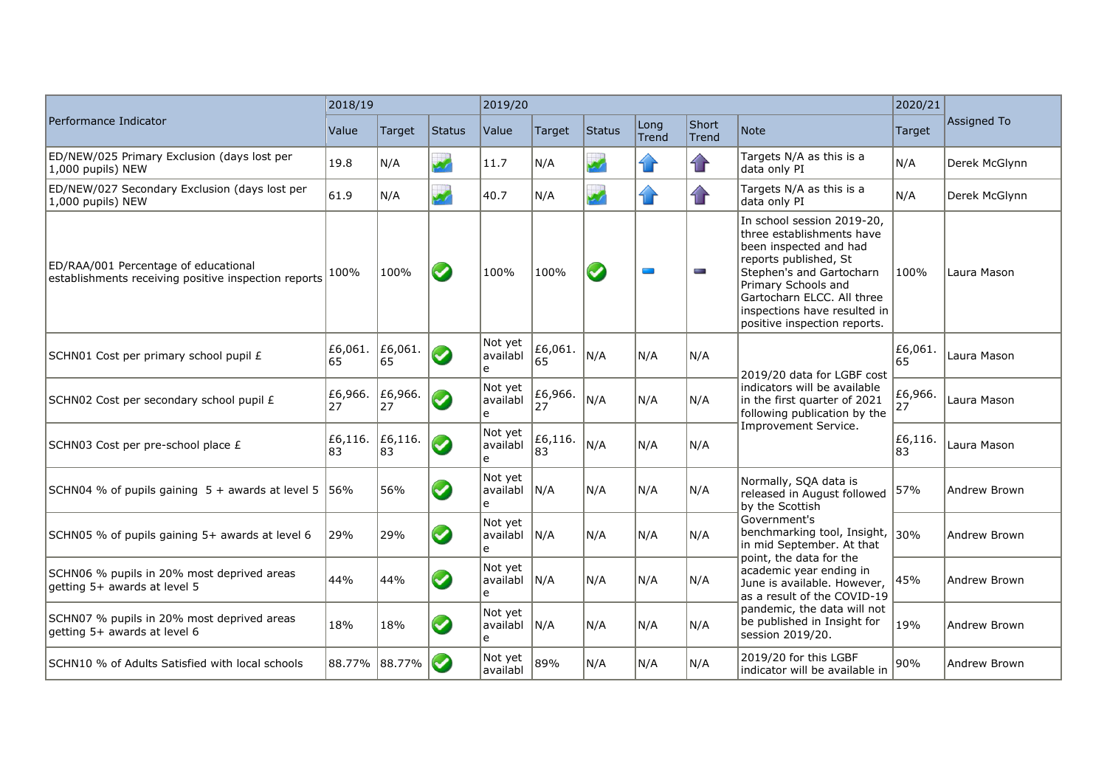|                                                                                              | 2018/19       |               |                      | 2019/20                  |               |                          |                          | 2020/21        |                                                                                                                                                                                                                                                             |               |               |
|----------------------------------------------------------------------------------------------|---------------|---------------|----------------------|--------------------------|---------------|--------------------------|--------------------------|----------------|-------------------------------------------------------------------------------------------------------------------------------------------------------------------------------------------------------------------------------------------------------------|---------------|---------------|
| Performance Indicator                                                                        | Value         | Target        | Status               | Value                    | Target        | <b>Status</b>            | Long<br><b>Trend</b>     | Short<br>Trend | Note                                                                                                                                                                                                                                                        | Target        | Assigned To   |
| ED/NEW/025 Primary Exclusion (days lost per<br>1,000 pupils) NEW                             | 19.8          | N/A           |                      | 11.7                     | N/A           | Z,                       | $\bf{r}$                 | $\mathbf{r}$   | Targets N/A as this is a<br>data only PI                                                                                                                                                                                                                    | N/A           | Derek McGlvnn |
| ED/NEW/027 Secondary Exclusion (days lost per<br>1,000 pupils) NEW                           | 61.9          | N/A           |                      | 40.7                     | N/A           | $\overline{\mathscr{L}}$ | $\sqrt{r}$               | $\mathbf{r}$   | Targets N/A as this is a<br>data only PI                                                                                                                                                                                                                    | N/A           | Derek McGlynn |
| ED/RAA/001 Percentage of educational<br>establishments receiving positive inspection reports | 100%          | 100%          | $\blacktriangledown$ | 100%                     | 100%          | $\blacktriangledown$     | $\overline{\phantom{a}}$ | <b>Service</b> | In school session 2019-20,<br>three establishments have<br>been inspected and had<br>reports published, St<br>Stephen's and Gartocharn<br>Primary Schools and<br>Gartocharn ELCC. All three<br>inspections have resulted in<br>positive inspection reports. | 100%          | Laura Mason   |
| SCHN01 Cost per primary school pupil £                                                       | £6,061.<br>65 | £6,061.<br>65 | V                    | Not yet<br>availabl<br>e | £6,061.<br>65 | N/A                      | N/A                      | N/A            | 2019/20 data for LGBF cost                                                                                                                                                                                                                                  | £6,061.<br>65 | Laura Mason   |
| SCHN02 Cost per secondary school pupil £                                                     | £6,966.<br>27 | £6,966.<br>27 | $\blacktriangledown$ | Not yet<br>availabl<br>e | £6,966.<br>27 | N/A                      | N/A                      | N/A            | indicators will be available<br>in the first quarter of 2021<br>following publication by the                                                                                                                                                                | £6,966.<br>27 | Laura Mason   |
| SCHN03 Cost per pre-school place £                                                           | £6,116.<br>83 | £6,116.<br>83 | ✓                    | Not yet<br>availabl<br>e | £6,116.<br>83 | N/A                      | N/A                      | N/A            | Improvement Service.                                                                                                                                                                                                                                        | £6,116.<br>83 | Laura Mason   |
| SCHN04 % of pupils gaining 5 + awards at level 5                                             | 56%           | 56%           | ✔                    | Not yet<br>availabl<br>e | N/A           | N/A                      | N/A                      | N/A            | Normally, SQA data is<br>released in August followed<br>by the Scottish                                                                                                                                                                                     | 57%           | Andrew Brown  |
| SCHN05 % of pupils gaining 5+ awards at level 6                                              | 29%           | 29%           | $\blacktriangledown$ | Not yet<br>availabl<br>e | IN/A          | N/A                      | N/A                      | N/A            | Government's<br>benchmarking tool, Insight,<br>in mid September. At that                                                                                                                                                                                    | 30%           | Andrew Brown  |
| SCHN06 % pupils in 20% most deprived areas<br>getting 5+ awards at level 5                   | 44%           | 44%           | ✔                    | Not yet<br>availabl<br>e | N/A           | N/A                      | N/A                      | N/A            | point, the data for the<br>academic year ending in<br>June is available. However,<br>as a result of the COVID-19                                                                                                                                            | 45%           | Andrew Brown  |
| SCHN07 % pupils in 20% most deprived areas<br>getting 5+ awards at level 6                   | 18%           | 18%           | $\blacktriangledown$ | Not yet<br>availabl<br>e | N/A           | N/A                      | N/A                      | N/A            | pandemic, the data will not<br>be published in Insight for<br>session 2019/20.                                                                                                                                                                              | 19%           | Andrew Brown  |
| SCHN10 % of Adults Satisfied with local schools                                              | 88.77% 88.77% |               | $\blacktriangledown$ | Not yet<br>availabl      | 89%           | N/A                      | N/A                      | N/A            | 2019/20 for this LGBF<br>indicator will be available in                                                                                                                                                                                                     | 90%           | Andrew Brown  |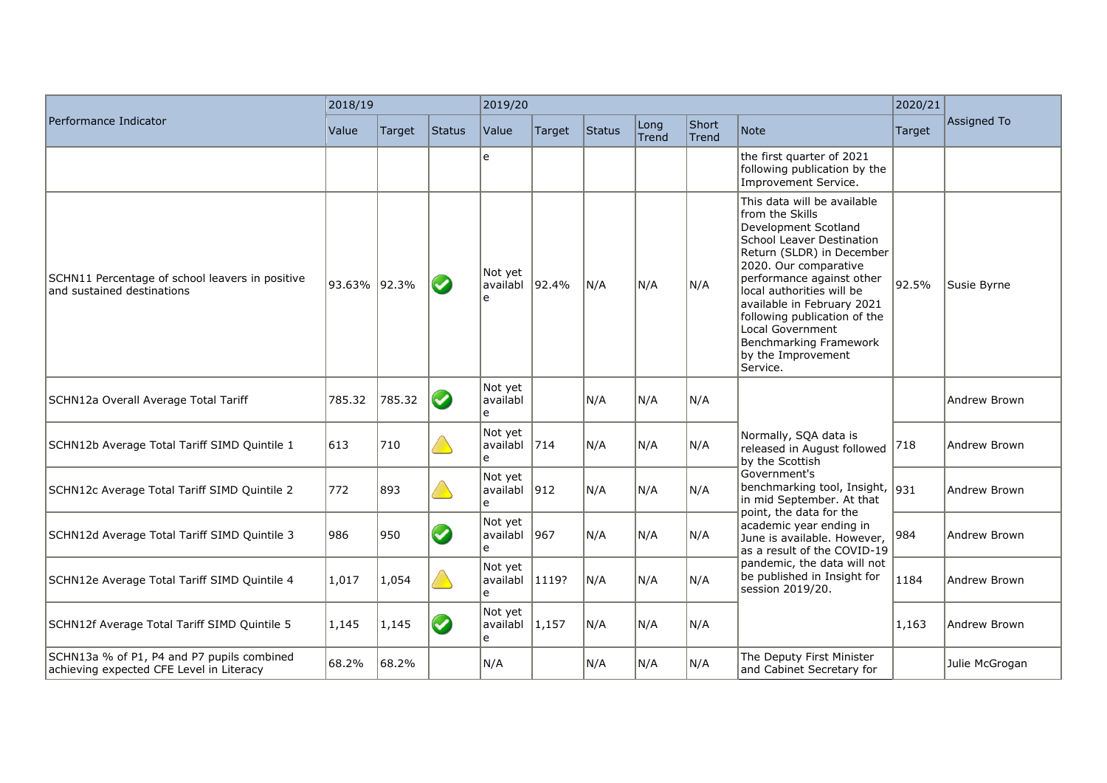|                                                                                        | 2018/19      |        |                      | 2019/20                   |               |        |               | 2020/21        |                                                                                                                                                                                                                                                                                                                                                                          |        |                |
|----------------------------------------------------------------------------------------|--------------|--------|----------------------|---------------------------|---------------|--------|---------------|----------------|--------------------------------------------------------------------------------------------------------------------------------------------------------------------------------------------------------------------------------------------------------------------------------------------------------------------------------------------------------------------------|--------|----------------|
| Performance Indicator                                                                  | Value        | Target | Status               | Value                     | Target        | Status | Long<br>Trend | Short<br>Trend | Note                                                                                                                                                                                                                                                                                                                                                                     | Target | Assigned To    |
|                                                                                        |              |        |                      | e                         |               |        |               |                | the first quarter of 2021<br>following publication by the<br>Improvement Service.                                                                                                                                                                                                                                                                                        |        |                |
| SCHN11 Percentage of school leavers in positive<br>and sustained destinations          | 93.63% 92.3% |        | $\blacktriangledown$ | Not yet<br>availabl<br>e  | 92.4%         | N/A    | N/A           | N/A            | This data will be available<br>from the Skills<br>Development Scotland<br>School Leaver Destination<br>Return (SLDR) in December<br>2020. Our comparative<br>performance against other<br>local authorities will be<br>available in February 2021<br>following publication of the<br>Local Government<br><b>Benchmarking Framework</b><br>by the Improvement<br>Service. | 92.5%  | Susie Byrne    |
| SCHN12a Overall Average Total Tariff                                                   | 785.32       | 785.32 | $\bullet$            | Not yet<br>availabl<br>e  |               | N/A    | N/A           | N/A            |                                                                                                                                                                                                                                                                                                                                                                          |        | Andrew Brown   |
| SCHN12b Average Total Tariff SIMD Quintile 1                                           | 613          | 710    |                      | Not yet<br>availabl<br>e  | 714           | N/A    | N/A           | N/A            | Normally, SQA data is<br>released in August followed<br>by the Scottish                                                                                                                                                                                                                                                                                                  | 718    | Andrew Brown   |
| SCHN12c Average Total Tariff SIMD Quintile 2                                           | 772          | 893    |                      | Not yet<br>availabl<br>e  | $ 912\rangle$ | N/A    | N/A           | N/A            | Government's<br>benchmarking tool, Insight,<br>in mid September. At that                                                                                                                                                                                                                                                                                                 | 931    | Andrew Brown   |
| SCHN12d Average Total Tariff SIMD Quintile 3                                           | 986          | 950    | $\blacktriangledown$ | Not yet<br>lavailabl<br>e | 967           | N/A    | N/A           | N/A            | point, the data for the<br>academic year ending in<br>June is available. However,<br>as a result of the COVID-19                                                                                                                                                                                                                                                         | 984    | Andrew Brown   |
| SCHN12e Average Total Tariff SIMD Quintile 4                                           | 1,017        | 1,054  |                      | Not yet<br>availabl<br>e  | 1119?         | N/A    | N/A           | N/A            | pandemic, the data will not<br>be published in Insight for<br>session 2019/20.                                                                                                                                                                                                                                                                                           | 1184   | Andrew Brown   |
| SCHN12f Average Total Tariff SIMD Quintile 5                                           | 1,145        | 1,145  | $\blacktriangledown$ | Not yet<br>availabl<br>e  | 1,157         | N/A    | N/A           | N/A            |                                                                                                                                                                                                                                                                                                                                                                          | 1,163  | Andrew Brown   |
| SCHN13a % of P1, P4 and P7 pupils combined<br>achieving expected CFE Level in Literacy | 68.2%        | 68.2%  |                      | N/A                       |               | N/A    | N/A           | N/A            | The Deputy First Minister<br>and Cabinet Secretary for                                                                                                                                                                                                                                                                                                                   |        | Julie McGrogan |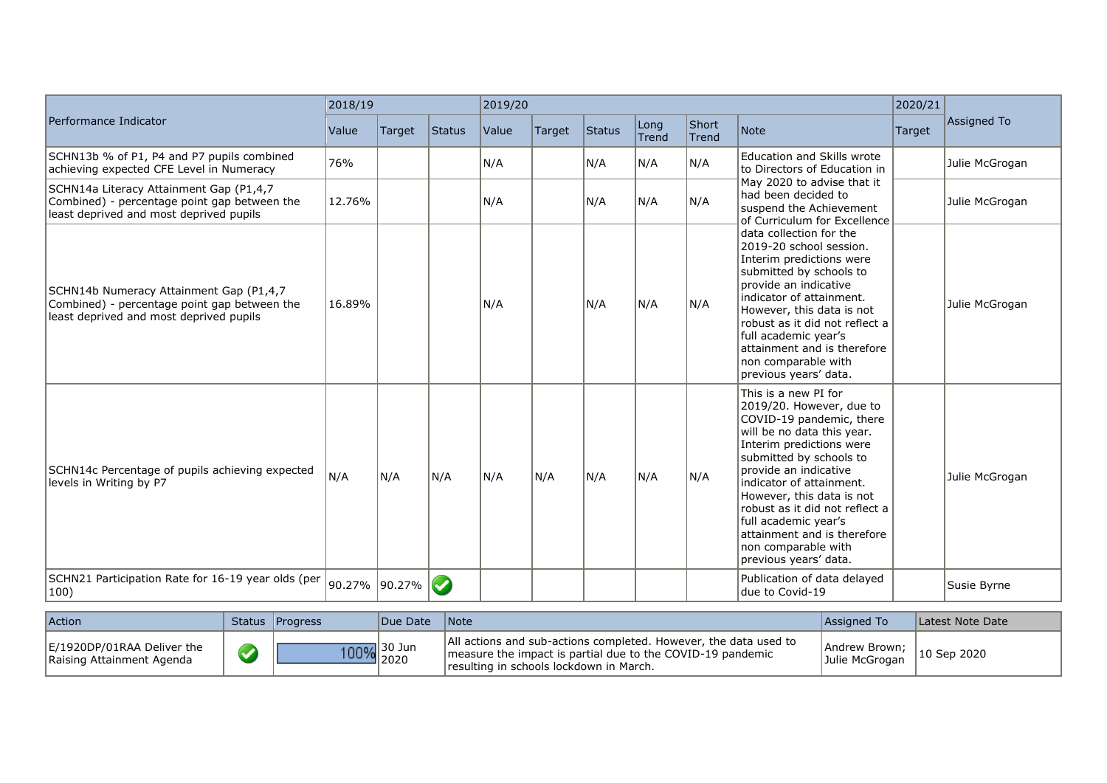|                                                                                                                                    | 2018/19       |        |                       | 2019/20 |        |        |                      | 2020/21        |                                                                                                                                                                                                                                                                                                                                                                                               |        |                |
|------------------------------------------------------------------------------------------------------------------------------------|---------------|--------|-----------------------|---------|--------|--------|----------------------|----------------|-----------------------------------------------------------------------------------------------------------------------------------------------------------------------------------------------------------------------------------------------------------------------------------------------------------------------------------------------------------------------------------------------|--------|----------------|
| Performance Indicator                                                                                                              | Value         | Target | Status                | Value   | Target | Status | Long<br><b>Trend</b> | Short<br>Trend | Note                                                                                                                                                                                                                                                                                                                                                                                          | Target | Assigned To    |
| SCHN13b % of P1, P4 and P7 pupils combined<br>achieving expected CFE Level in Numeracy                                             | 76%           |        |                       | N/A     |        | N/A    | N/A                  | N/A            | <b>Education and Skills wrote</b><br>to Directors of Education in                                                                                                                                                                                                                                                                                                                             |        | Julie McGrogan |
| SCHN14a Literacy Attainment Gap (P1,4,7<br>Combined) - percentage point gap between the<br>least deprived and most deprived pupils | 12.76%        |        |                       | N/A     |        | N/A    | N/A                  | N/A            | May 2020 to advise that it<br>had been decided to<br>suspend the Achievement                                                                                                                                                                                                                                                                                                                  |        | Julie McGrogan |
| SCHN14b Numeracy Attainment Gap (P1,4,7<br>Combined) - percentage point gap between the<br>least deprived and most deprived pupils | 16.89%        |        |                       | N/A     |        | N/A    | N/A                  | N/A            | of Curriculum for Excellence<br>data collection for the<br>2019-20 school session.<br>Interim predictions were<br>submitted by schools to<br>Iprovide an indicative<br>indicator of attainment.<br>However, this data is not<br>robust as it did not reflect a<br>full academic year's<br>attainment and is therefore<br>non comparable with<br>previous years' data.                         |        | Julie McGrogan |
| SCHN14c Percentage of pupils achieving expected<br>levels in Writing by P7                                                         | N/A           | IN/A   | N/A                   | N/A     | N/A    | N/A    | N/A                  | N/A            | This is a new PI for<br>2019/20. However, due to<br>COVID-19 pandemic, there<br>will be no data this year.<br>Interim predictions were<br>submitted by schools to<br>Iprovide an indicative<br>indicator of attainment.<br>However, this data is not<br>robust as it did not reflect a<br>full academic year's<br>attainment and is therefore<br>non comparable with<br>previous years' data. |        | Julie McGrogan |
| SCHN21 Participation Rate for 16-19 year olds (per<br>$ 100\rangle$                                                                | 90.27% 90.27% |        | $\blacktriangleright$ |         |        |        |                      |                | Publication of data delayed<br>due to Covid-19                                                                                                                                                                                                                                                                                                                                                |        | Susie Byrne    |

| Action                                                  | Status Progress | Due Date    | <i>Note</i>                                                                                                                                                               | Assigned To                     | Latest Note Date |
|---------------------------------------------------------|-----------------|-------------|---------------------------------------------------------------------------------------------------------------------------------------------------------------------------|---------------------------------|------------------|
| E/1920DP/01RAA Deliver the<br>Raising Attainment Agenda |                 | 100% 30 Jun | All actions and sub-actions completed. However, the data used to<br>measure the impact is partial due to the COVID-19 pandemic<br>resulting in schools lockdown in March. | Andrew Brown;<br>Julie McGrogan | 10 Sep 2020      |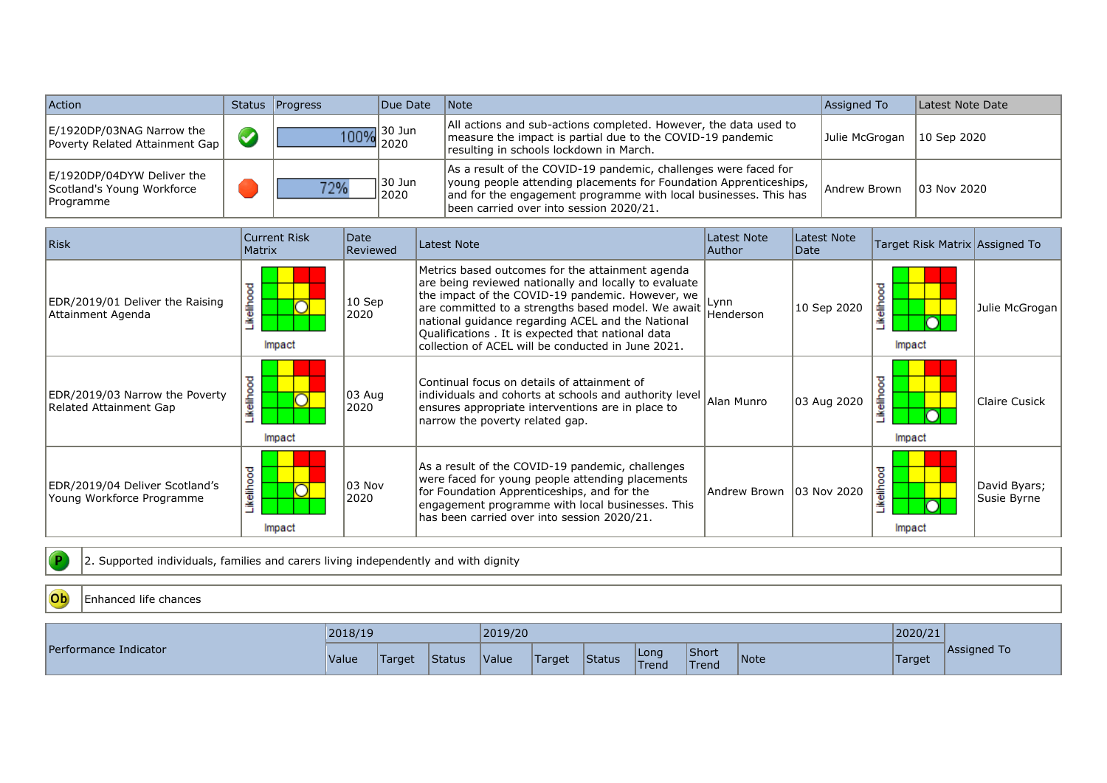| Action                                                                | Status Progress | Due Date             | $\blacksquare$ Note                                                                                                                                                                                                                                 | Assigned To    | Latest Note Date |
|-----------------------------------------------------------------------|-----------------|----------------------|-----------------------------------------------------------------------------------------------------------------------------------------------------------------------------------------------------------------------------------------------------|----------------|------------------|
| E/1920DP/03NAG Narrow the<br><b>Poverty Related Attainment Gap</b>    |                 | $\frac{100\%}{2020}$ | All actions and sub-actions completed. However, the data used to<br>measure the impact is partial due to the COVID-19 pandemic<br>resulting in schools lockdown in March.                                                                           | Julie McGrogan | 10 Sep 2020      |
| E/1920DP/04DYW Deliver the<br>Scotland's Young Workforce<br>Programme | 770/2           | 30 Jun<br>2020       | As a result of the COVID-19 pandemic, challenges were faced for<br>young people attending placements for Foundation Apprenticeships,<br>and for the engagement programme with local businesses. This has<br>been carried over into session 2020/21. | Andrew Brown   | 103 Nov 2020     |

| <b>Risk</b>                                                 | <b>Current Risk</b><br><b>Matrix</b> | Date<br>Reviewed | Latest Note                                                                                                                                                                                                                                                                                                                                                                          | Latest Note<br>Author     | Latest Note<br>Date | Target Risk Matrix Assigned To |                             |
|-------------------------------------------------------------|--------------------------------------|------------------|--------------------------------------------------------------------------------------------------------------------------------------------------------------------------------------------------------------------------------------------------------------------------------------------------------------------------------------------------------------------------------------|---------------------------|---------------------|--------------------------------|-----------------------------|
| EDR/2019/01 Deliver the Raising<br>Attainment Agenda        | ikelihood<br>Impact                  | 10 Sep<br>2020   | Metrics based outcomes for the attainment agenda<br>are being reviewed nationally and locally to evaluate<br>the impact of the COVID-19 pandemic. However, we<br>are committed to a strengths based model. We await<br>national guidance regarding ACEL and the National<br>Qualifications . It is expected that national data<br>collection of ACEL will be conducted in June 2021. | Lynn<br>Henderson         | 10 Sep 2020         | kelihood<br>Impact             | Julie McGrogan              |
| EDR/2019/03 Narrow the Poverty<br>Related Attainment Gap    | ikelihood<br>Impact                  | 03 Aug<br>2020   | Continual focus on details of attainment of<br>individuals and cohorts at schools and authority level<br>ensures appropriate interventions are in place to<br>narrow the poverty related gap.                                                                                                                                                                                        | Alan Munro                | 03 Aug 2020         | elihoo<br>Impact               | Claire Cusick               |
| EDR/2019/04 Deliver Scotland's<br>Young Workforce Programme | ikelihood<br>Impact                  | 03 Nov<br>2020   | As a result of the COVID-19 pandemic, challenges<br>were faced for young people attending placements<br>for Foundation Apprenticeships, and for the<br>engagement programme with local businesses. This<br>has been carried over into session 2020/21.                                                                                                                               | Andrew Brown 103 Nov 2020 |                     | .<br>''<br>Impact              | David Byars;<br>Susie Byrne |

2. Supported individuals, families and carers living independently and with dignity

#### Ob Enhanced life chances

 $\bullet$ 

|                       | 2018/19 |        |        | 2019/20 |                      |               |               |                |      | 2020/21       |             |
|-----------------------|---------|--------|--------|---------|----------------------|---------------|---------------|----------------|------|---------------|-------------|
| Performance Indicator | Value   | Target | Status | Value   | <i><b>Target</b></i> | <b>Status</b> | Long<br>Trend | Short<br>Trend | Note | <b>Target</b> | Assigned To |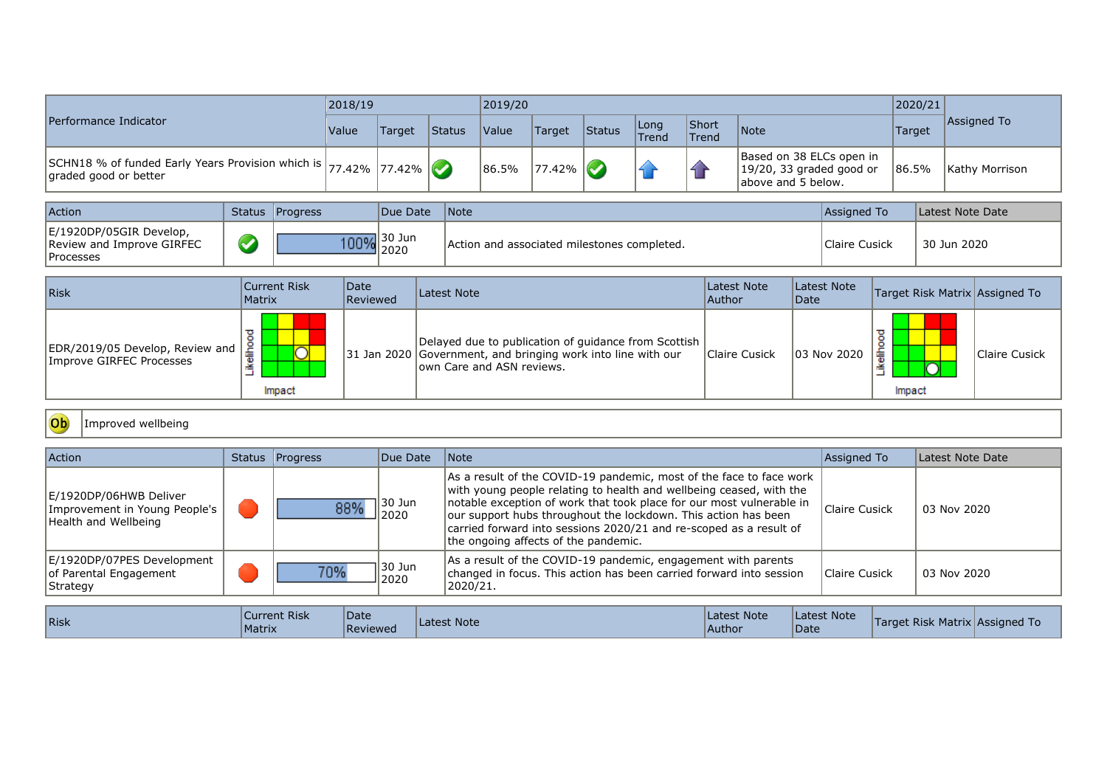|                                                                                                | 2018/19 |        |               | 2019/20             |               |        |                      |                |                                                                            | 2020/21 |                |
|------------------------------------------------------------------------------------------------|---------|--------|---------------|---------------------|---------------|--------|----------------------|----------------|----------------------------------------------------------------------------|---------|----------------|
| Performance Indicator                                                                          | Value   | Target | <b>Status</b> | <i><b>Value</b></i> | <b>Target</b> | Status | Long<br><b>Trend</b> | Short<br>Trend | Note                                                                       | Target  | Assigned To    |
| SCHN18 % of funded Early Years Provision which is $ 77.42\% 77.42\% $<br>graded good or better |         |        |               | 86.5%               | $177.42\%$    |        |                      |                | Based on 38 ELCs open in<br>19/20, 33 graded good or<br>above and 5 below. | 186.5%  | Kathy Morrison |

| Action                                                                    | Status Progress | Due Date                            | <i>Note</i>                                 | Assigned To   | Latest Note Date |
|---------------------------------------------------------------------------|-----------------|-------------------------------------|---------------------------------------------|---------------|------------------|
| E/1920DP/05GIR Develop,<br>Review and Improve GIRFEC<br><b>IProcesses</b> |                 | $\frac{100\%}{2000}$ 30 Jun<br>2020 | Action and associated milestones completed. | Claire Cusick | 30 Jun 2020      |

| Risk                                                          | Current Risk<br><b>Matrix</b>               | Date<br>Reviewed | Latest Note                                                                                                                                          | Latest Note<br> Author | Latest Note<br>Date | Target Risk Matrix Assigned To   |               |
|---------------------------------------------------------------|---------------------------------------------|------------------|------------------------------------------------------------------------------------------------------------------------------------------------------|------------------------|---------------------|----------------------------------|---------------|
| EDR/2019/05 Develop, Review and  <br>Improve GIRFEC Processes | eliho<br>$\overline{\phantom{a}}$<br>Impact |                  | Delayed due to publication of guidance from Scottish  <br>31 Jan 2020 Government, and bringing work into line with our<br>lown Care and ASN reviews. | Claire Cusick          | 03 Nov 2020         | ≖<br>۰<br>$\circ$<br>毒<br>Impact | Claire Cusick |

#### Ob Improved wellbeing

| Action                                                                          | Status Progress | Due Date       | Note                                                                                                                                                                                                                                                                                                                                                                                               | Assigned To   | Latest Note Date |
|---------------------------------------------------------------------------------|-----------------|----------------|----------------------------------------------------------------------------------------------------------------------------------------------------------------------------------------------------------------------------------------------------------------------------------------------------------------------------------------------------------------------------------------------------|---------------|------------------|
| E/1920DP/06HWB Deliver<br>Improvement in Young People's<br>Health and Wellbeing | 88%             | 30 Jun<br>2020 | As a result of the COVID-19 pandemic, most of the face to face work<br>with young people relating to health and wellbeing ceased, with the<br>notable exception of work that took place for our most vulnerable in<br>our support hubs throughout the lockdown. This action has been<br>carried forward into sessions 2020/21 and re-scoped as a result of<br>the ongoing affects of the pandemic. | Claire Cusick | 03 Nov 2020      |
| E/1920DP/07PES Development<br>of Parental Engagement<br> Strategy               | 70%             | 30 Jun<br>2020 | As a result of the COVID-19 pandemic, engagement with parents<br>changed in focus. This action has been carried forward into session<br>2020/21.                                                                                                                                                                                                                                                   | Claire Cusick | 03 Nov 2020      |

| <b>Risk</b> | <b>Current Risk</b><br>Matrix | Date<br>Reviewed | Latest Note | Latest Note<br>Author | Latest Note<br>Date | <b>Target Risk Matrix Assigned To</b> |  |
|-------------|-------------------------------|------------------|-------------|-----------------------|---------------------|---------------------------------------|--|
|-------------|-------------------------------|------------------|-------------|-----------------------|---------------------|---------------------------------------|--|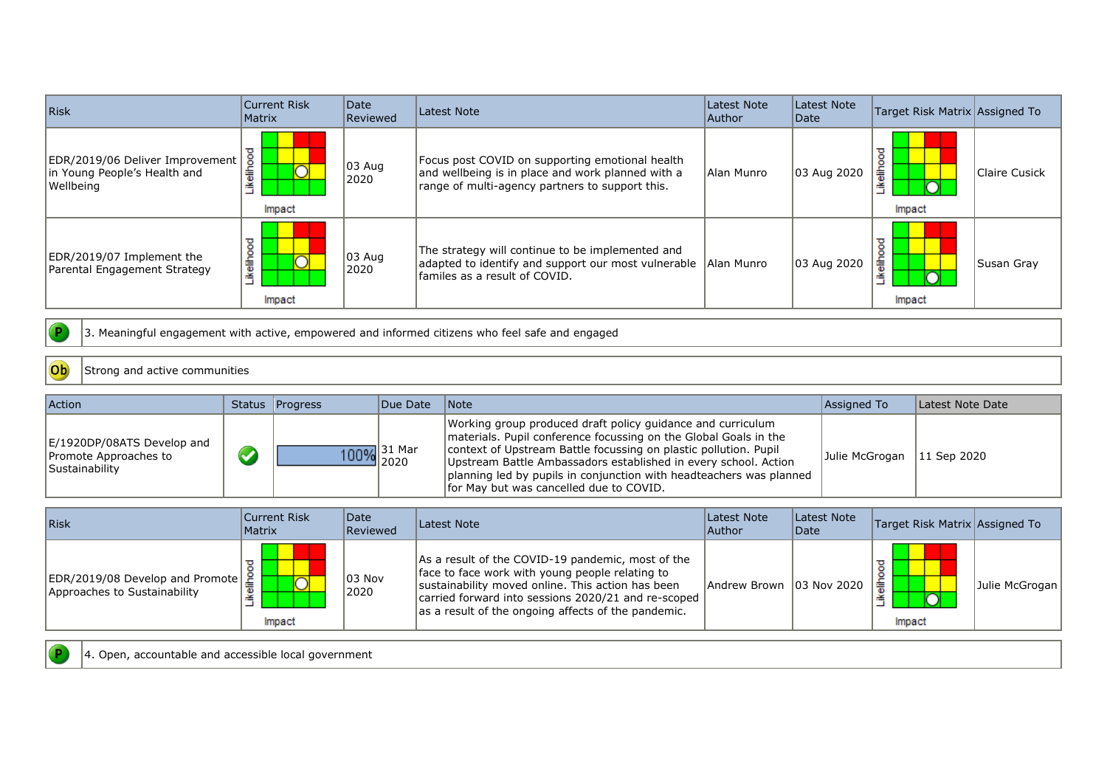| <b>Risk</b>                                                                  | Current Risk<br>Matrix | Date<br><b>Reviewed</b> | Latest Note                                                                                                                                             | Latest Note<br> Author | Latest Note<br> Date | Target Risk Matrix Assigned To |               |
|------------------------------------------------------------------------------|------------------------|-------------------------|---------------------------------------------------------------------------------------------------------------------------------------------------------|------------------------|----------------------|--------------------------------|---------------|
| EDR/2019/06 Deliver Improvement<br>in Young People's Health and<br>Wellbeing | ikelihood<br>Impact    | 03 Aug<br>2020          | Focus post COVID on supporting emotional health<br>and wellbeing is in place and work planned with a<br>range of multi-agency partners to support this. | Alan Munro             | 03 Aug 2020          | ᠊ᠣ<br>흛<br>≚<br>Impact         | Claire Cusick |
| EDR/2019/07 Implement the<br>Parental Engagement Strategy                    | ikelihood<br>Impact    | 03 Aug<br>2020          | The strategy will continue to be implemented and<br>adapted to identify and support our most vulnerable<br>familes as a result of COVID.                | Alan Munro             | 03 Aug 2020          | ᠊ᠣ<br>ō<br>흫<br>Impact         | Susan Gray    |

3. Meaningful engagement with active, empowered and informed citizens who feel safe and engaged

#### Ob Strong and active communities

 $\bullet$ 

| <b>Action</b>                                                         | Status Progress | Due Date                  | <b>Note</b>                                                                                                                                                                                                                                                                                                                                                                              | Assigned To    | Latest Note Date |
|-----------------------------------------------------------------------|-----------------|---------------------------|------------------------------------------------------------------------------------------------------------------------------------------------------------------------------------------------------------------------------------------------------------------------------------------------------------------------------------------------------------------------------------------|----------------|------------------|
| E/1920DP/08ATS Develop and<br>Promote Approaches to<br>Sustainability |                 | $\frac{100\%}{2020}$ 2020 | Working group produced draft policy guidance and curriculum<br>materials. Pupil conference focussing on the Global Goals in the<br>context of Upstream Battle focussing on plastic pollution. Pupil<br>Upstream Battle Ambassadors established in every school. Action<br>planning led by pupils in conjunction with headteachers was planned<br>for May but was cancelled due to COVID. | Julie McGrogan | 11 Sep 2020      |

| Risk                                                                             | Current Risk<br>Matrix | Date<br>Reviewed   | Latest Note                                                                                                                                                                                                                                                             | Latest Note<br> Author    | Latest Note<br>Date | Target Risk Matrix Assigned To |                |
|----------------------------------------------------------------------------------|------------------------|--------------------|-------------------------------------------------------------------------------------------------------------------------------------------------------------------------------------------------------------------------------------------------------------------------|---------------------------|---------------------|--------------------------------|----------------|
| $ EDR/2019/08$ Develop and Promote $\frac{8}{5}$<br>Approaches to Sustainability | i⊌<br>Impact           | $ 03 $ Nov<br>2020 | As a result of the COVID-19 pandemic, most of the<br>face to face work with young people relating to<br>sustainability moved online. This action has been<br>carried forward into sessions 2020/21 and re-scoped<br>as a result of the ongoing affects of the pandemic. | Andrew Brown 103 Nov 2020 |                     | l主<br>Impact                   | Julie McGrogan |

P

4. Open, accountable and accessible local government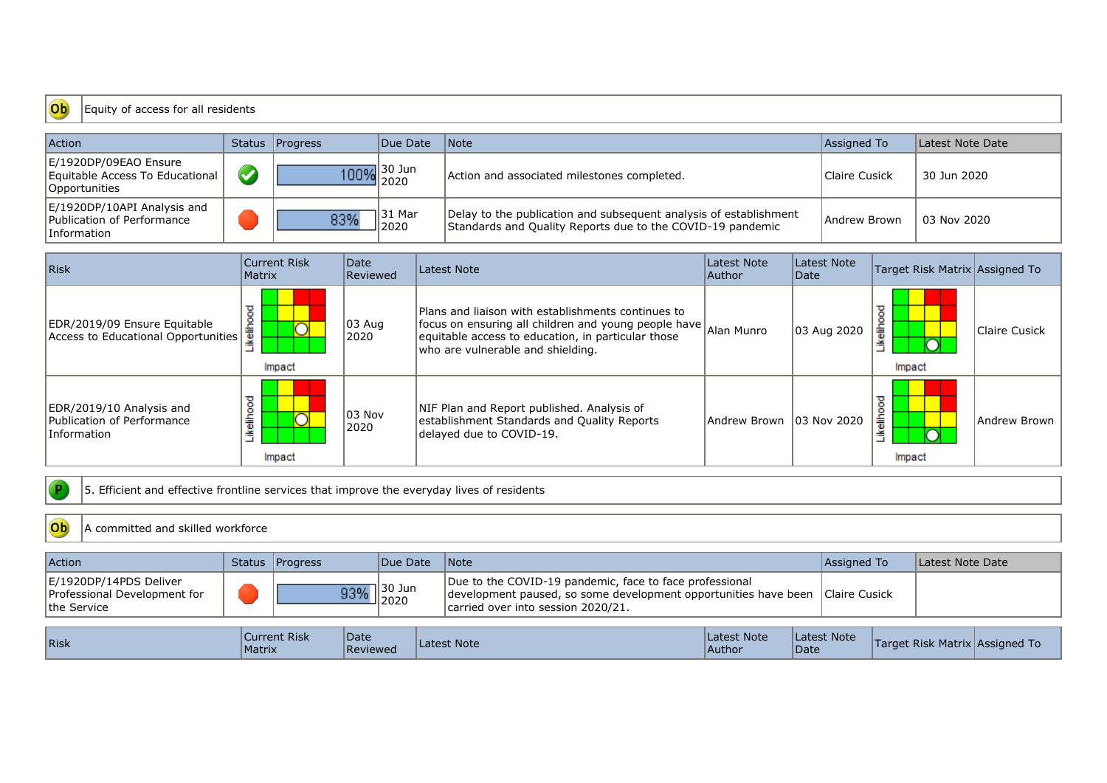#### Equity of access for all residents Ob

| Action                                                                    | Status Progress | Due Date        | Note                                                                                                                            | Assigned To   | Latest Note Date |
|---------------------------------------------------------------------------|-----------------|-----------------|---------------------------------------------------------------------------------------------------------------------------------|---------------|------------------|
| E/1920DP/09EAO Ensure<br>Equitable Access To Educational<br>Opportunities |                 | 100% 30 Jun     | Action and associated milestones completed.                                                                                     | Claire Cusick | 30 Jun 2020      |
| E/1920DP/10API Analysis and<br>Publication of Performance<br>Information  | 83%             | ⊺31 Mar<br>2020 | Delay to the publication and subsequent analysis of establishment<br>Standards and Quality Reports due to the COVID-19 pandemic | Andrew Brown  | 03 Nov 2020      |

| Risk                                                                  | <b>Current Risk</b><br>Matrix | Date<br>Reviewed | Latest Note                                                                                                                                                                                           | Latest Note<br>Author     | Latest Note<br> Date | Target Risk Matrix Assigned To |               |
|-----------------------------------------------------------------------|-------------------------------|------------------|-------------------------------------------------------------------------------------------------------------------------------------------------------------------------------------------------------|---------------------------|----------------------|--------------------------------|---------------|
| EDR/2019/09 Ensure Equitable<br>Access to Educational Opportunities   | ikelihood<br>Impact           | 103 Aug<br>2020  | Plans and liaison with establishments continues to<br>focus on ensuring all children and young people have<br>equitable access to education, in particular those<br>who are vulnerable and shielding. | Alan Munro                | 03 Aug 2020          | ≖<br>흛<br>≚<br>Impact          | Claire Cusick |
| EDR/2019/10 Analysis and<br>Publication of Performance<br>Information | kelihood<br>Impact            | 103 Nov<br>2020  | NIF Plan and Report published. Analysis of<br>establishment Standards and Quality Reports<br>delayed due to COVID-19.                                                                                 | Andrew Brown 103 Nov 2020 |                      | ≖<br>۰<br>틂<br>≚<br>Impact     | Andrew Brown  |

 $\sqrt{P}$ 5. Efficient and effective frontline services that improve the everyday lives of residents

| Ob<br>A committed and skilled workforce                               |               |                             |                   |                                                                                                                                                                  |                        |                            |               |                                |  |  |  |
|-----------------------------------------------------------------------|---------------|-----------------------------|-------------------|------------------------------------------------------------------------------------------------------------------------------------------------------------------|------------------------|----------------------------|---------------|--------------------------------|--|--|--|
| <b>Action</b>                                                         |               | Status Progress             | <b>IDue Date</b>  | <i>Note</i>                                                                                                                                                      |                        |                            | Assigned To   | Latest Note Date               |  |  |  |
| E/1920DP/14PDS Deliver<br>Professional Development for<br>the Service |               | 93%                         | 1 30 Jun<br>ᅴ2020 | Due to the COVID-19 pandemic, face to face professional<br>development paused, so some development opportunities have been<br>carried over into session 2020/21. |                        |                            | Claire Cusick |                                |  |  |  |
| Risk                                                                  | <b>Matrix</b> | Date<br><b>Current Risk</b> | Reviewed          | Latest Note                                                                                                                                                      | Latest Note<br> Author | Latest Note<br><b>Date</b> |               | Target Risk Matrix Assigned To |  |  |  |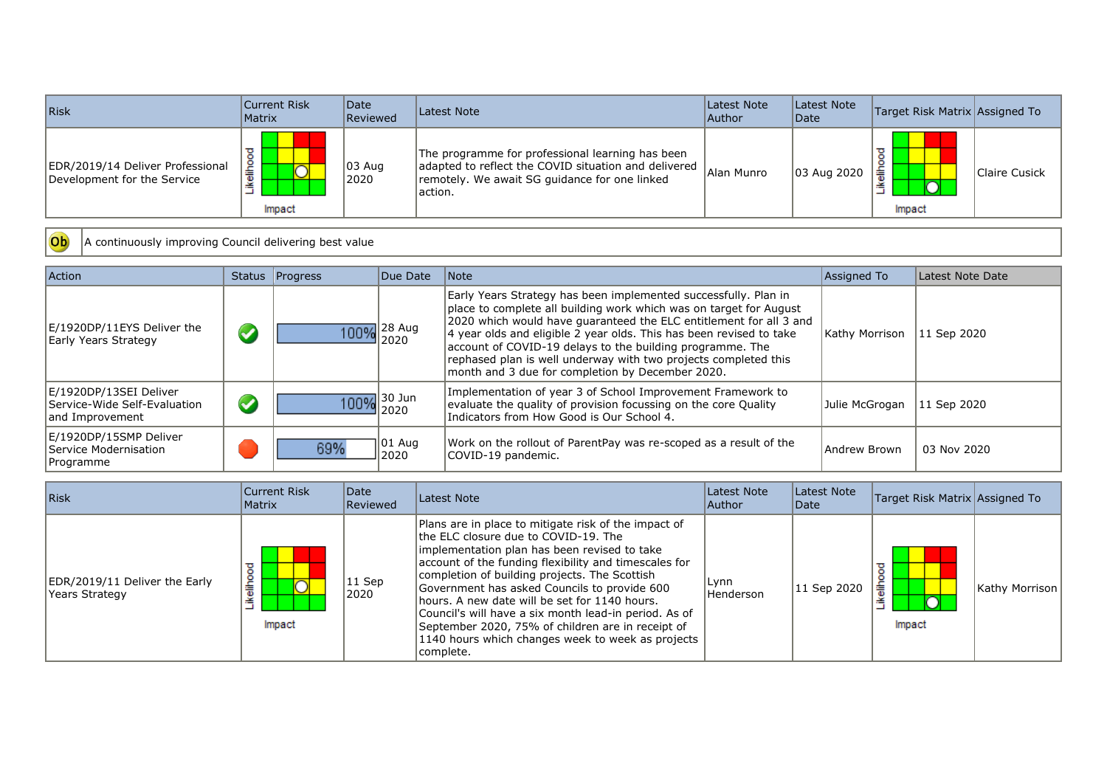| Risk                                                            | Current Risk<br><b>Matrix</b> | Date<br>Reviewed           | Latest Note                                                                                                                                                          | Latest Note<br> Author | Latest Note<br>Date | Target Risk Matrix Assigned To |               |
|-----------------------------------------------------------------|-------------------------------|----------------------------|----------------------------------------------------------------------------------------------------------------------------------------------------------------------|------------------------|---------------------|--------------------------------|---------------|
| EDR/2019/14 Deliver Professional<br>Development for the Service | 흛<br>≝<br>_<br>Impact         | $ 03 \text{ Aug} $<br>2020 | The programme for professional learning has been<br>adapted to reflect the COVID situation and delivered<br>remotely. We await SG guidance for one linked<br>action. | Alan Munro             | 03 Aug 2020         | l主<br>Impact                   | Claire Cusick |

Ob A continuously improving Council delivering best value

| <b>Action</b>                                                             |                      | Status   Progress | Due Date        | Note                                                                                                                                                                                                                                                                                                                                                                                                                                                                   | Assigned To          | Latest Note Date |
|---------------------------------------------------------------------------|----------------------|-------------------|-----------------|------------------------------------------------------------------------------------------------------------------------------------------------------------------------------------------------------------------------------------------------------------------------------------------------------------------------------------------------------------------------------------------------------------------------------------------------------------------------|----------------------|------------------|
| E/1920DP/11EYS Deliver the<br>Early Years Strategy                        | $\blacktriangledown$ |                   | 100% 28 Aug     | Early Years Strategy has been implemented successfully. Plan in<br>place to complete all building work which was on target for August<br>2020 which would have guaranteed the ELC entitlement for all 3 and<br>4 year olds and eligible 2 year olds. This has been revised to take<br>account of COVID-19 delays to the building programme. The<br>rephased plan is well underway with two projects completed this<br>month and 3 due for completion by December 2020. | Kathy Morrison       | 11 Sep 2020      |
| E/1920DP/13SEI Deliver<br>Service-Wide Self-Evaluation<br>and Improvement | $\blacktriangledown$ | 100% 30 Jun       |                 | Implementation of year 3 of School Improvement Framework to<br>evaluate the quality of provision focussing on the core Quality<br>Indicators from How Good is Our School 4.                                                                                                                                                                                                                                                                                            | Julie McGrogan       | 11 Sep 2020      |
| E/1920DP/15SMP Deliver<br>Service Modernisation<br><b>Programme</b>       |                      | 69%               | 101 Aug<br>2020 | Work on the rollout of ParentPay was re-scoped as a result of the<br>COVID-19 pandemic.                                                                                                                                                                                                                                                                                                                                                                                | <b>JAndrew Brown</b> | 03 Nov 2020      |

| Risk                                             | Current Risk<br>Matrix      | <i><b>Date</b></i><br>Reviewed | Latest Note                                                                                                                                                                                                                                                                                                                                                                                                                                                                                                                              | Latest Note<br> Author   | Latest Note<br>Date | Target Risk Matrix Assigned To |                |
|--------------------------------------------------|-----------------------------|--------------------------------|------------------------------------------------------------------------------------------------------------------------------------------------------------------------------------------------------------------------------------------------------------------------------------------------------------------------------------------------------------------------------------------------------------------------------------------------------------------------------------------------------------------------------------------|--------------------------|---------------------|--------------------------------|----------------|
| EDR/2019/11 Deliver the Early<br> Years Strategy | τ<br>$\circ$<br>흛<br>Impact | $11$ Sep<br>2020               | Plans are in place to mitigate risk of the impact of<br>the ELC closure due to COVID-19. The<br>implementation plan has been revised to take<br>account of the funding flexibility and timescales for<br>completion of building projects. The Scottish<br>Government has asked Councils to provide 600<br>Thours. A new date will be set for 1140 hours.<br>Council's will have a six month lead-in period. As of<br>September 2020, 75% of children are in receipt of<br>1140 hours which changes week to week as projects<br>complete. | Lynn<br><b>Henderson</b> | 11 Sep 2020         | 올<br>Impact                    | Kathy Morrison |